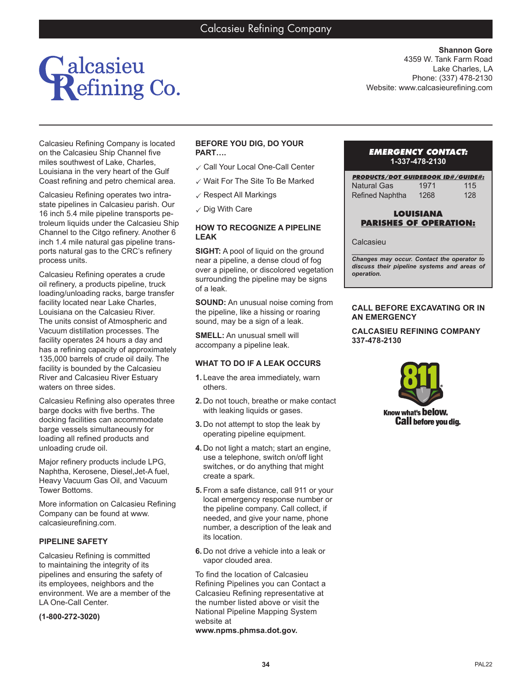

Calcasieu Refining Company is located on the Calcasieu Ship Channel five miles southwest of Lake, Charles, Louisiana in the very heart of the Gulf Coast refining and petro chemical area.

Calcasieu Refining operates two intrastate pipelines in Calcasieu parish. Our 16 inch 5.4 mile pipeline transports petroleum liquids under the Calcasieu Ship Channel to the Citgo refinery. Another 6 inch 1.4 mile natural gas pipeline transports natural gas to the CRC's refinery process units.

Calcasieu Refining operates a crude oil refinery, a products pipeline, truck loading/unloading racks, barge transfer facility located near Lake Charles, Louisiana on the Calcasieu River. The units consist of Atmospheric and Vacuum distillation processes. The facility operates 24 hours a day and has a refining capacity of approximately 135,000 barrels of crude oil daily. The facility is bounded by the Calcasieu River and Calcasieu River Estuary waters on three sides.

Calcasieu Refining also operates three barge docks with five berths. The docking facilities can accommodate barge vessels simultaneously for loading all refined products and unloading crude oil.

Major refinery products include LPG, Naphtha, Kerosene, Diesel,Jet-A fuel, Heavy Vacuum Gas Oil, and Vacuum Tower Bottoms.

More information on Calcasieu Refining Company can be found at www. calcasieurefining.com.

## **PIPELINE SAFETY**

Calcasieu Refining is committed to maintaining the integrity of its pipelines and ensuring the safety of its employees, neighbors and the environment. We are a member of the LA One-Call Center.

**(1-800-272-3020)**

# **BEFORE YOU DIG, DO YOUR PART….**

- ✓ Call Your Local One-Call Center
- $\checkmark$  Wait For The Site To Be Marked
- $\checkmark$  Respect All Markings
- $\checkmark$  Dig With Care

## **HOW TO RECOGNIZE A PIPELINE LEAK**

**SIGHT:** A pool of liquid on the ground near a pipeline, a dense cloud of fog over a pipeline, or discolored vegetation surrounding the pipeline may be signs of a leak.

**SOUND:** An unusual noise coming from the pipeline, like a hissing or roaring sound, may be a sign of a leak.

**SMELL:** An unusual smell will accompany a pipeline leak.

## **WHAT TO DO IF A LEAK OCCURS**

- **1.** Leave the area immediately, warn others.
- **2.** Do not touch, breathe or make contact with leaking liquids or gases.
- **3.** Do not attempt to stop the leak by operating pipeline equipment.
- **4.** Do not light a match; start an engine, use a telephone, switch on/off light switches, or do anything that might create a spark.
- **5.** From a safe distance, call 911 or your local emergency response number or the pipeline company. Call collect, if needed, and give your name, phone number, a description of the leak and its location.
- **6.** Do not drive a vehicle into a leak or vapor clouded area.

To find the location of Calcasieu Refining Pipelines you can Contact a Calcasieu Refining representative at the number listed above or visit the National Pipeline Mapping System website at **www.npms.phmsa.dot.gov.**

# *EMERGENCY CONTACT:* **1-337-478-2130**

| <b>PRODUCTS/DOT GUIDEBOOK ID#/GUIDE#:</b> |      |     |
|-------------------------------------------|------|-----|
| <b>Natural Gas</b>                        | 1971 | 115 |
| <b>Refined Naphtha</b>                    | 1268 | 128 |

# **LOUISIANA PARISHES OF OPERATION:**

#### Calcasieu

*\_\_\_\_\_\_\_\_\_\_\_\_\_\_\_\_\_\_\_\_\_\_\_\_\_\_\_\_\_\_\_\_\_\_\_\_\_\_\_ Changes may occur. Contact the operator to discuss their pipeline systems and areas of operation.*

# **CALL BEFORE EXCAVATING OR IN AN EMERGENCY**

# **CALCASIEU REFINING COMPANY 337-478-2130**